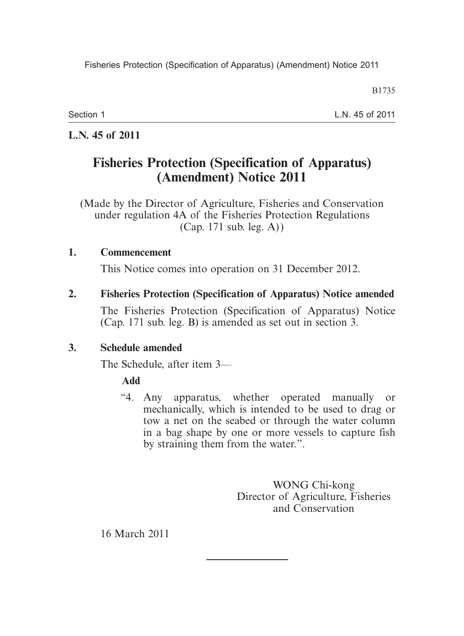B1735

Section 1

L.N. 45 of 2011

## **L.N. 45 of 2011**

# **Fisheries Protection (Specification of Apparatus) (Amendment) Notice 2011**

(Made by the Director of Agriculture, Fisheries and Conservation under regulation 4A of the Fisheries Protection Regulations (Cap. 171 sub. leg. A))

#### **1. Commencement**

This Notice comes into operation on 31 December 2012.

#### **2. Fisheries Protection (Specification of Apparatus) Notice amended**

The Fisheries Protection (Specification of Apparatus) Notice (Cap. 171 sub. leg. B) is amended as set out in section 3.

## **3. Schedule amended**

The Schedule, after item 3—

## **Add**

 "4. Any apparatus, whether operated manually or mechanically, which is intended to be used to drag or tow a net on the seabed or through the water column in a bag shape by one or more vessels to capture fish by straining them from the water.".

> WONG Chi-kong Director of Agriculture, Fisheries and Conservation

16 March 2011